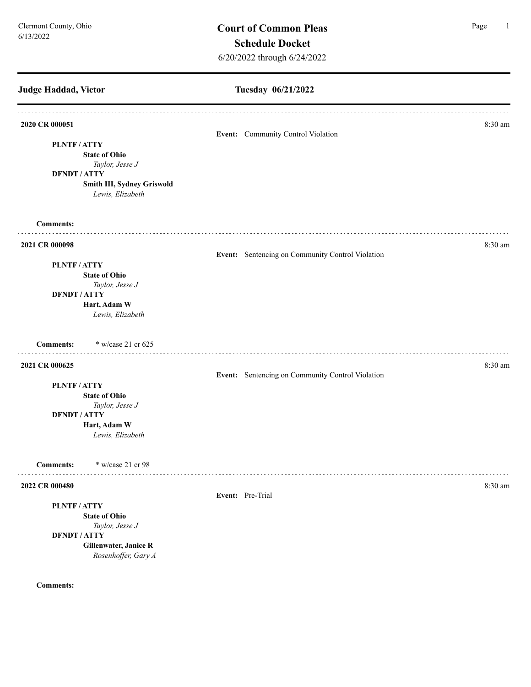# **Judge Haddad, Victor Tuesday 06/21/2022 2020 CR 000051** 8:30 am **Event:** Community Control Violation **PLNTF / ATTY State of Ohio** *Taylor, Jesse J* **DFNDT / ATTY Smith III, Sydney Griswold** *Lewis, Elizabeth*  **Comments: 2021 CR 000098** 8:30 am **Event:** Sentencing on Community Control Violation **PLNTF / ATTY State of Ohio** *Taylor, Jesse J* **DFNDT / ATTY Hart, Adam W** *Lewis, Elizabeth*  **Comments:** \* w/case 21 cr 625 **2021 CR 000625** 8:30 am **Event:** Sentencing on Community Control Violation **PLNTF / ATTY State of Ohio** *Taylor, Jesse J* **DFNDT / ATTY Hart, Adam W** *Lewis, Elizabeth*  **Comments:** \* w/case 21 cr 98 . . . . . . . . . . . . . **2022 CR 000480** 8:30 am **8:30 am Event:** Pre-Trial **PLNTF / ATTY State of Ohio** *Taylor, Jesse J* **DFNDT / ATTY Gillenwater, Janice R** *Rosenhoffer, Gary A* **Comments:**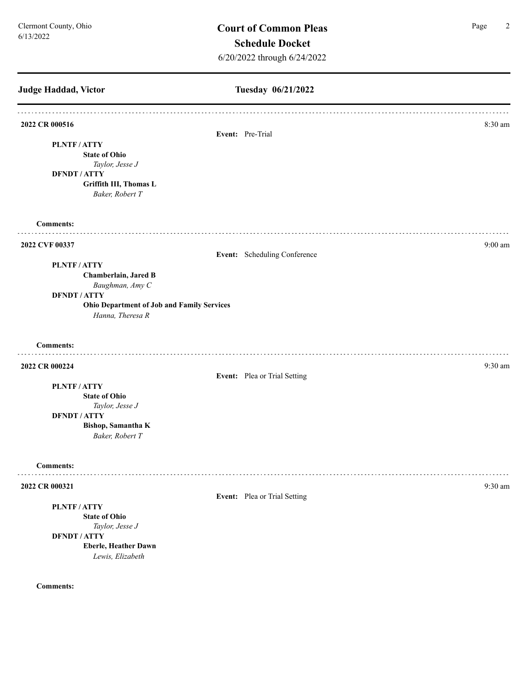**Tuesday 06/21/2022 Judge Haddad, Victor 2022 CR 000516** 8:30 am **Event:** Pre-Trial **PLNTF / ATTY State of Ohio** *Taylor, Jesse J* **DFNDT / ATTY Griffith III, Thomas L** *Baker, Robert T* **Comments:** . . . . . . . . . . . . **2022 CVF 00337** 9:00 am **Event:** Scheduling Conference **PLNTF / ATTY Chamberlain, Jared B** *Baughman, Amy C* **DFNDT / ATTY Ohio Department of Job and Family Services** *Hanna, Theresa R* **Comments:** . . . . . . . . . **2022 CR 000224** 9:30 am **9:30 am Event:** Plea or Trial Setting **PLNTF / ATTY State of Ohio** *Taylor, Jesse J* **DFNDT / ATTY Bishop, Samantha K** *Baker, Robert T* **Comments:** . . . . . . . . . . . . . . . . . . . **2022 CR 000321** 9:30 am **9:30 am Event:** Plea or Trial Setting **PLNTF / ATTY State of Ohio** *Taylor, Jesse J* **DFNDT / ATTY Eberle, Heather Dawn** *Lewis, Elizabeth*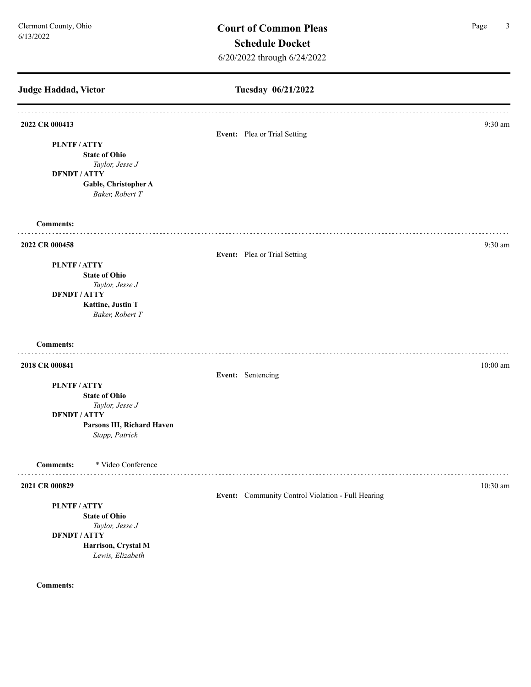## **Judge Haddad, Victor Tuesday 06/21/2022 2022 CR 000413** 9:30 am **Event:** Plea or Trial Setting **PLNTF / ATTY State of Ohio** *Taylor, Jesse J* **DFNDT / ATTY Gable, Christopher A** *Baker, Robert T* **Comments:** . . . . . . . . . . . . **2022 CR 000458** 9:30 am **Event:** Plea or Trial Setting **PLNTF / ATTY State of Ohio** *Taylor, Jesse J* **DFNDT / ATTY Kattine, Justin T** *Baker, Robert T* **Comments: 2018 CR 000841** 10:00 am **10:00 am** 10:00 am **10:00 am** 10:00 am **10:00 am** 10:00 am **10:00 am Event:** Sentencing **PLNTF / ATTY State of Ohio** *Taylor, Jesse J* **DFNDT / ATTY Parsons III, Richard Haven** *Stapp, Patrick*  **Comments:** \* Video Conference . . . . . . . . . . . . **2021 CR 000829** 10:30 am **Event:** Community Control Violation - Full Hearing **PLNTF / ATTY State of Ohio** *Taylor, Jesse J* **DFNDT / ATTY Harrison, Crystal M** *Lewis, Elizabeth*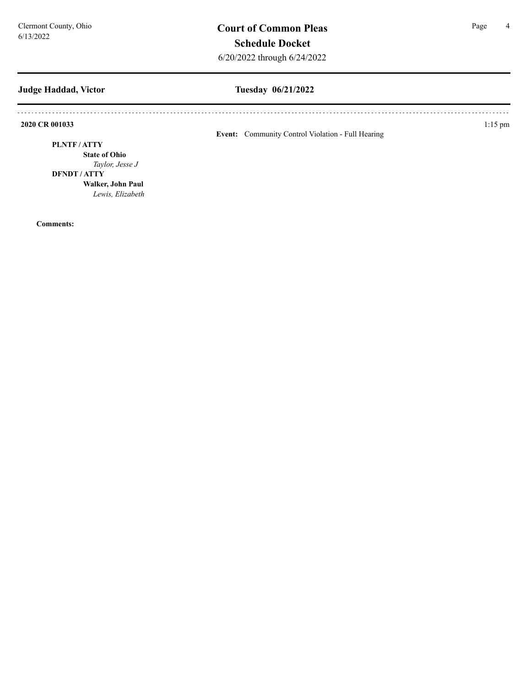### **Judge Haddad, Victor**

## **Tuesday 06/21/2022**

**2020 CR 001033** 1:15 pm

**Event:** Community Control Violation - Full Hearing

#### **PLNTF / ATTY**

**State of Ohio** *Taylor, Jesse J*

#### **DFNDT / ATTY**

**Walker, John Paul** *Lewis, Elizabeth*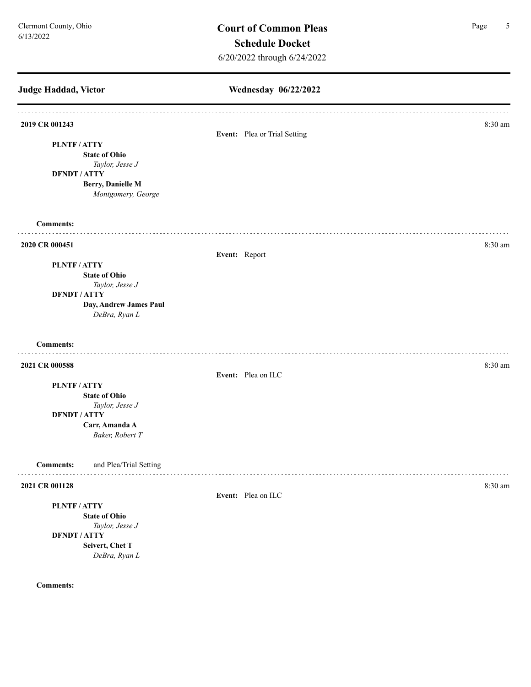| Judge Haddad, Victor                       | Wednesday 06/22/2022         |         |  |
|--------------------------------------------|------------------------------|---------|--|
| 2019 CR 001243                             | Event: Plea or Trial Setting | 8:30 am |  |
| PLNTF/ATTY                                 |                              |         |  |
| <b>State of Ohio</b>                       |                              |         |  |
| Taylor, Jesse J                            |                              |         |  |
| <b>DFNDT / ATTY</b><br>Berry, Danielle M   |                              |         |  |
| Montgomery, George                         |                              |         |  |
| <b>Comments:</b>                           |                              |         |  |
| 2020 CR 000451                             |                              | 8:30 am |  |
|                                            | Event: Report                |         |  |
| PLNTF/ATTY                                 |                              |         |  |
| <b>State of Ohio</b>                       |                              |         |  |
| Taylor, Jesse J<br><b>DFNDT / ATTY</b>     |                              |         |  |
| Day, Andrew James Paul                     |                              |         |  |
| DeBra, Ryan L                              |                              |         |  |
| <b>Comments:</b>                           |                              |         |  |
| 2021 CR 000588                             |                              | 8:30 am |  |
|                                            | Event: Plea on ILC           |         |  |
| PLNTF/ATTY                                 |                              |         |  |
| <b>State of Ohio</b>                       |                              |         |  |
| Taylor, Jesse J<br><b>DFNDT / ATTY</b>     |                              |         |  |
| Carr, Amanda A                             |                              |         |  |
| Baker, Robert T                            |                              |         |  |
| and Plea/Trial Setting<br><b>Comments:</b> |                              |         |  |
| 2021 CR 001128                             |                              | 8:30 am |  |
|                                            | Event: Plea on ILC           |         |  |
| PLNTF/ATTY                                 |                              |         |  |
| <b>State of Ohio</b>                       |                              |         |  |
| Taylor, Jesse J<br><b>DFNDT / ATTY</b>     |                              |         |  |
|                                            |                              |         |  |
| DeBra, Ryan L                              |                              |         |  |
| Seivert, Chet T                            |                              |         |  |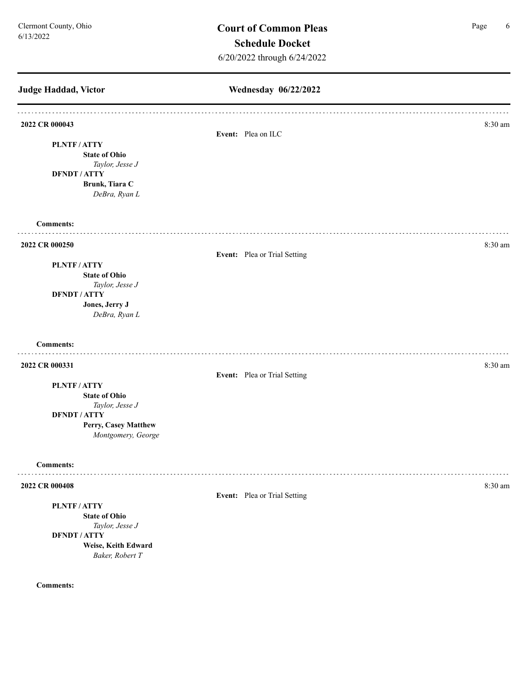**Judge Haddad, Victor Wednesday 06/22/2022 2022 CR 000043** 8:30 am **Event:** Plea on ILC **PLNTF / ATTY State of Ohio** *Taylor, Jesse J* **DFNDT / ATTY Brunk, Tiara C** *DeBra, Ryan L* **Comments: 2022 CR 000250** 8:30 am **Event:** Plea or Trial Setting **PLNTF / ATTY State of Ohio** *Taylor, Jesse J* **DFNDT / ATTY Jones, Jerry J** *DeBra, Ryan L* **Comments: 2022 CR 000331** 8:30 am **Event:** Plea or Trial Setting **PLNTF / ATTY State of Ohio** *Taylor, Jesse J* **DFNDT / ATTY Perry, Casey Matthew** *Montgomery, George*  **Comments:** . . . . . . . . . **2022 CR 000408** 8:30 am **Event:** Plea or Trial Setting **PLNTF / ATTY State of Ohio** *Taylor, Jesse J* **DFNDT / ATTY Weise, Keith Edward** *Baker, Robert T*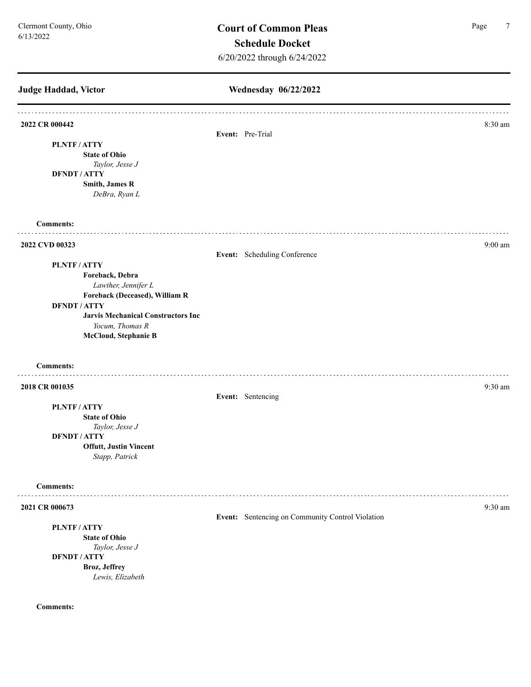**Judge Haddad, Victor Wednesday 06/22/2022 2022 CR 000442** 8:30 am **Event:** Pre-Trial **PLNTF / ATTY State of Ohio** *Taylor, Jesse J* **DFNDT / ATTY Smith, James R** *DeBra, Ryan L* **Comments:**  $1.1.1.1.1.1$ **2022 CVD 00323** 9:00 am **9:00 am Event:** Scheduling Conference **PLNTF / ATTY Foreback, Debra**  *Lawther, Jennifer L* **Foreback (Deceased), William R DFNDT / ATTY Jarvis Mechanical Constructors Inc** *Yocum, Thomas R* **McCloud, Stephanie B Comments:** . . . . . . . . . . . **2018 CR 001035** 9:30 am **9:30 am Event:** Sentencing **PLNTF / ATTY State of Ohio** *Taylor, Jesse J* **DFNDT / ATTY Offutt, Justin Vincent** *Stapp, Patrick*  **Comments: 2021 CR 000673** 9:30 am **9:30** am **9:30** am **9:30** am **9:30** am **9:30** am **9:30** am **9:30** am **Event:** Sentencing on Community Control Violation **PLNTF / ATTY State of Ohio** *Taylor, Jesse J* **DFNDT / ATTY Broz, Jeffrey**  *Lewis, Elizabeth*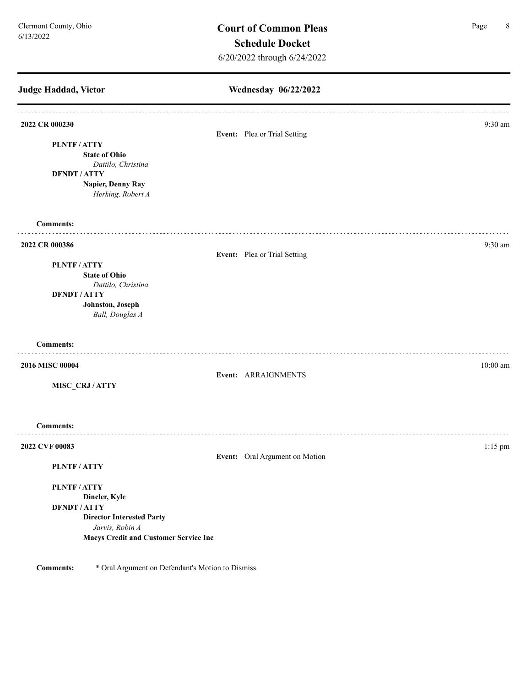**Judge Haddad, Victor Wednesday 06/22/2022 2022 CR 000230** 9:30 am **Event:** Plea or Trial Setting **PLNTF / ATTY State of Ohio** *Dattilo, Christina*  **DFNDT / ATTY Napier, Denny Ray** *Herking, Robert A* **Comments: 2022 CR 000386** 9:30 am **Event:** Plea or Trial Setting **PLNTF / ATTY State of Ohio** *Dattilo, Christina*  **DFNDT / ATTY Johnston, Joseph**  *Ball, Douglas A* **Comments: 2016 MISC 00004** 10:00 am **10:00 am Event:** ARRAIGNMENTS **MISC\_CRJ / ATTY Comments: 2022 CVF 00083** 1:15 pm **Event:** Oral Argument on Motion **PLNTF / ATTY PLNTF / ATTY Dincler, Kyle DFNDT / ATTY Director Interested Party** *Jarvis, Robin A* **Macys Credit and Customer Service Inc**

**Comments:** \* Oral Argument on Defendant's Motion to Dismiss.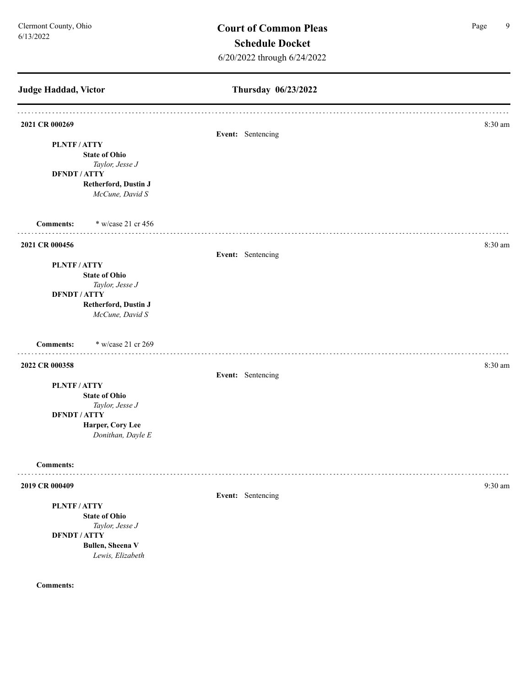**Judge Haddad, Victor Thursday 06/23/2022 2021 CR 000269** 8:30 am **Event:** Sentencing **PLNTF / ATTY State of Ohio** *Taylor, Jesse J* **DFNDT / ATTY Retherford, Dustin J** *McCune, David S* **Comments:** \* w/case 21 cr 456 **2021 CR 000456** 8:30 am **Event:** Sentencing **PLNTF / ATTY State of Ohio** *Taylor, Jesse J* **DFNDT / ATTY Retherford, Dustin J** *McCune, David S* **Comments:** \* w/case 21 cr 269 **2022 CR 000358** 8:30 am **8:30 Event:** Sentencing **PLNTF / ATTY State of Ohio** *Taylor, Jesse J* **DFNDT / ATTY Harper, Cory Lee** *Donithan, Dayle E* **Comments:** . . . . . . . . . **2019 CR 000409** 9:30 am **9:30 am Event:** Sentencing **PLNTF / ATTY State of Ohio** *Taylor, Jesse J* **DFNDT / ATTY Bullen, Sheena V** *Lewis, Elizabeth*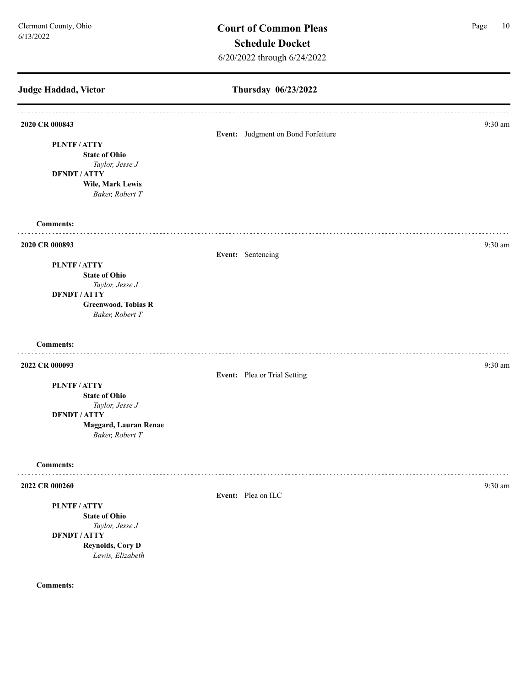# **Thursday 06/23/2022 Judge Haddad, Victor 2020 CR 000843** 9:30 am **Event:** Judgment on Bond Forfeiture **PLNTF / ATTY State of Ohio** *Taylor, Jesse J* **DFNDT / ATTY Wile, Mark Lewis** *Baker, Robert T* **Comments: 2020 CR 000893** 9:30 am **Event:** Sentencing **PLNTF / ATTY State of Ohio** *Taylor, Jesse J* **DFNDT / ATTY Greenwood, Tobias R** *Baker, Robert T* **Comments: 2022 CR 000093** 9:30 am **9:30 Event:** Plea or Trial Setting **PLNTF / ATTY State of Ohio** *Taylor, Jesse J* **DFNDT / ATTY Maggard, Lauran Renae** *Baker, Robert T* **Comments:** . . . . . . . . . **2022 CR 000260** 9:30 am **9:30** am **9:30** am **9:30** am **9:30** am **9:30** am **9:30** am **9:30** am **9:30** am **9:30** am **9:30** am **9:30** am **9:30** am **9:30** am **9:30** am **9:30** am **9:30** am **9:30** am **9:30** am **9:30** am **9:30 Event:** Plea on ILC **PLNTF / ATTY State of Ohio** *Taylor, Jesse J* **DFNDT / ATTY Reynolds, Cory D** *Lewis, Elizabeth*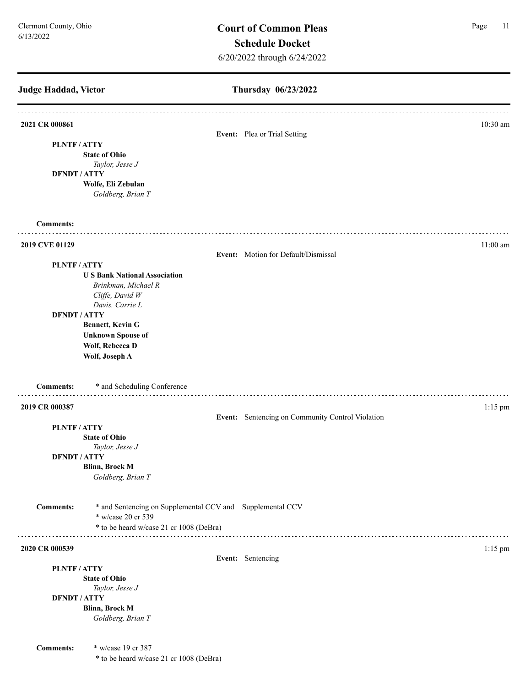| Judge Haddad, Victor                     |                                                                                                                                                                                       | Thursday 06/23/2022                              |            |
|------------------------------------------|---------------------------------------------------------------------------------------------------------------------------------------------------------------------------------------|--------------------------------------------------|------------|
| 2021 CR 000861                           |                                                                                                                                                                                       |                                                  | $10:30$ am |
| <b>PLNTF/ATTY</b><br><b>DFNDT / ATTY</b> | <b>State of Ohio</b><br>Taylor, Jesse J                                                                                                                                               | Event: Plea or Trial Setting                     |            |
|                                          | Wolfe, Eli Zebulan<br>Goldberg, Brian T                                                                                                                                               |                                                  |            |
| <b>Comments:</b>                         |                                                                                                                                                                                       |                                                  |            |
| 2019 CVE 01129                           |                                                                                                                                                                                       | Event: Motion for Default/Dismissal              | $11:00$ am |
| PLNTF/ATTY<br><b>DFNDT / ATTY</b>        | <b>US Bank National Association</b><br>Brinkman, Michael R<br>Cliffe, David W<br>Davis, Carrie L<br>Bennett, Kevin G<br><b>Unknown Spouse of</b><br>Wolf, Rebecca D<br>Wolf, Joseph A |                                                  |            |
| <b>Comments:</b>                         | * and Scheduling Conference                                                                                                                                                           |                                                  |            |
| 2019 CR 000387                           |                                                                                                                                                                                       | Event: Sentencing on Community Control Violation | $1:15$ pm  |
| PLNTF/ATTY                               | <b>State of Ohio</b><br>Taylor, Jesse J                                                                                                                                               |                                                  |            |
| <b>DFNDT/ATTY</b>                        | Blinn, Brock M<br>Goldberg, Brian T                                                                                                                                                   |                                                  |            |
| <b>Comments:</b>                         | * and Sentencing on Supplemental CCV and Supplemental CCV<br>* w/case 20 cr 539<br>* to be heard w/case 21 cr 1008 (DeBra)                                                            |                                                  |            |
|                                          | .                                                                                                                                                                                     |                                                  |            |
| 2020 CR 000539                           |                                                                                                                                                                                       | Event: Sentencing                                | $1:15$ pm  |
| PLNTF/ATTY                               |                                                                                                                                                                                       |                                                  |            |
|                                          | <b>State of Ohio</b><br>Taylor, Jesse J                                                                                                                                               |                                                  |            |
| <b>DFNDT / ATTY</b>                      | <b>Blinn, Brock M</b><br>Goldberg, Brian T                                                                                                                                            |                                                  |            |
| <b>Comments:</b>                         | * w/case 19 cr 387<br>* to be heard w/case 21 cr 1008 (DeBra)                                                                                                                         |                                                  |            |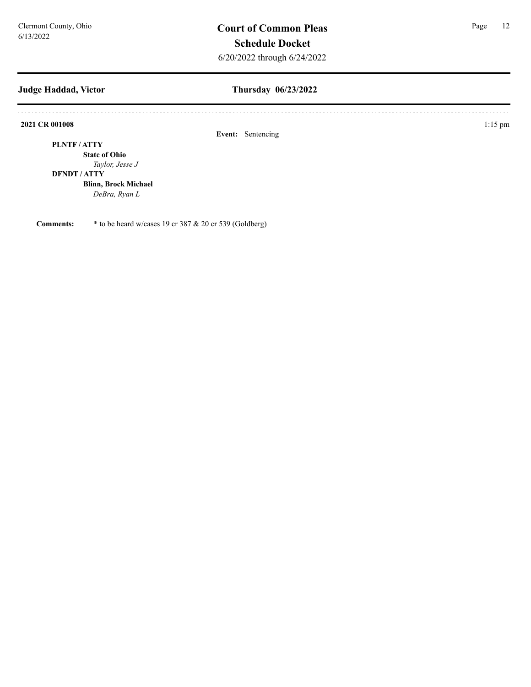#### **Judge Haddad, Victor**

### **Thursday 06/23/2022**

**2021 CR 001008** 1:15 pm

**Event:** Sentencing

**PLNTF / ATTY**

**State of Ohio** *Taylor, Jesse J*

#### **DFNDT / ATTY**

**Blinn, Brock Michael** *DeBra, Ryan L*

**Comments:** \* to be heard w/cases 19 cr 387 & 20 cr 539 (Goldberg)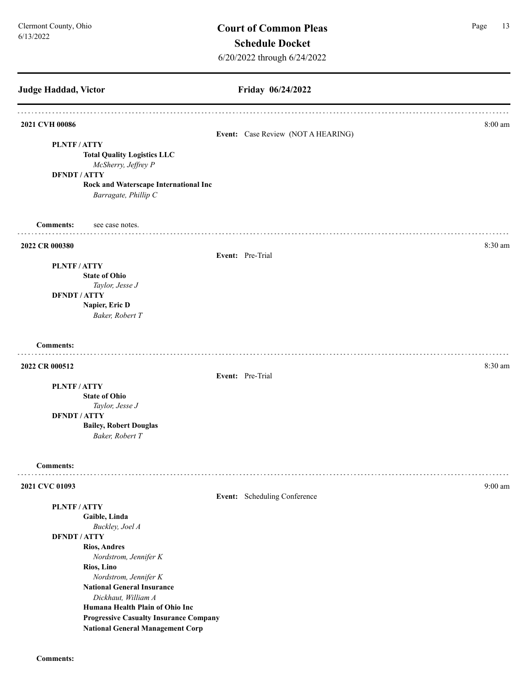| <b>Judge Haddad, Victor</b>                                   | Friday 06/24/2022                  |                   |
|---------------------------------------------------------------|------------------------------------|-------------------|
| 2021 CVH 00086                                                |                                    | 8:00 am           |
|                                                               | Event: Case Review (NOT A HEARING) |                   |
| PLNTF/ATTY                                                    |                                    |                   |
| <b>Total Quality Logistics LLC</b>                            |                                    |                   |
| McSherry, Jeffrey P                                           |                                    |                   |
| <b>DFNDT / ATTY</b>                                           |                                    |                   |
| Rock and Waterscape International Inc<br>Barragate, Phillip C |                                    |                   |
| <b>Comments:</b><br>see case notes.                           |                                    |                   |
| 2022 CR 000380                                                |                                    | 8:30 am           |
|                                                               | Event: Pre-Trial                   |                   |
| PLNTF/ATTY                                                    |                                    |                   |
| <b>State of Ohio</b>                                          |                                    |                   |
| Taylor, Jesse J                                               |                                    |                   |
| <b>DFNDT / ATTY</b>                                           |                                    |                   |
| Napier, Eric D<br>Baker, Robert T                             |                                    |                   |
| <b>Comments:</b>                                              |                                    |                   |
| 2022 CR 000512                                                | Event: Pre-Trial                   | 8:30 am           |
| PLNTF/ATTY                                                    |                                    |                   |
| <b>State of Ohio</b>                                          |                                    |                   |
| Taylor, Jesse J                                               |                                    |                   |
| <b>DFNDT / ATTY</b>                                           |                                    |                   |
| <b>Bailey, Robert Douglas</b><br>Baker, Robert T              |                                    |                   |
| <b>Comments:</b>                                              |                                    |                   |
| 2021 CVC 01093                                                |                                    | $9:00 \text{ am}$ |
|                                                               | Event: Scheduling Conference       |                   |
| PLNTF/ATTY                                                    |                                    |                   |
| Gaible, Linda                                                 |                                    |                   |
| Buckley, Joel A                                               |                                    |                   |
| <b>DFNDT / ATTY</b><br><b>Rios, Andres</b>                    |                                    |                   |
| Nordstrom, Jennifer K                                         |                                    |                   |
| Rios, Lino                                                    |                                    |                   |
| Nordstrom, Jennifer K                                         |                                    |                   |
| <b>National General Insurance</b>                             |                                    |                   |
| Dickhaut, William A                                           |                                    |                   |
| Humana Health Plain of Ohio Inc                               |                                    |                   |
|                                                               |                                    |                   |
| <b>Progressive Casualty Insurance Company</b>                 |                                    |                   |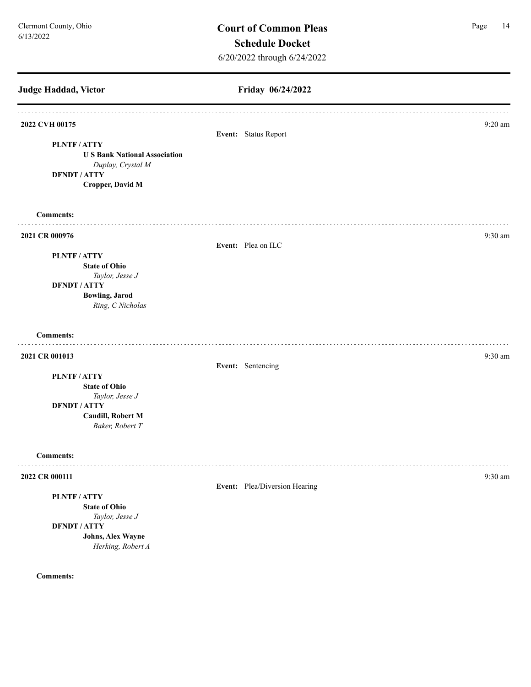**Friday 06/24/2022 Judge Haddad, Victor 2022 CVH 00175** 9:20 am **Event:** Status Report **PLNTF / ATTY U S Bank National Association** *Duplay, Crystal M* **DFNDT / ATTY Cropper, David M Comments: 2021 CR 000976** 9:30 am **9:30 am Event:** Plea on ILC **PLNTF / ATTY State of Ohio** *Taylor, Jesse J* **DFNDT / ATTY Bowling, Jarod**  *Ring, C Nicholas* **Comments: 2021 CR 001013** 9:30 am **9:30 am Event:** Sentencing **PLNTF / ATTY State of Ohio** *Taylor, Jesse J* **DFNDT / ATTY Caudill, Robert M** *Baker, Robert T* **Comments:** . . . . . . . . . . . . **2022 CR 000111** 9:30 am **9:30** am **9:30** am **9:30** am **9:30** am **9:30** am **9:30** am **9:30** am **9:30** am **9:30** am **9:30** am **9:30** am **9:30** am **9:30** am **9:30** am **9:30** am **9:30** am **9:30** am **9:30** am **9:30** am **9:30 Event:** Plea/Diversion Hearing **PLNTF / ATTY State of Ohio** *Taylor, Jesse J* **DFNDT / ATTY Johns, Alex Wayne** *Herking, Robert A*